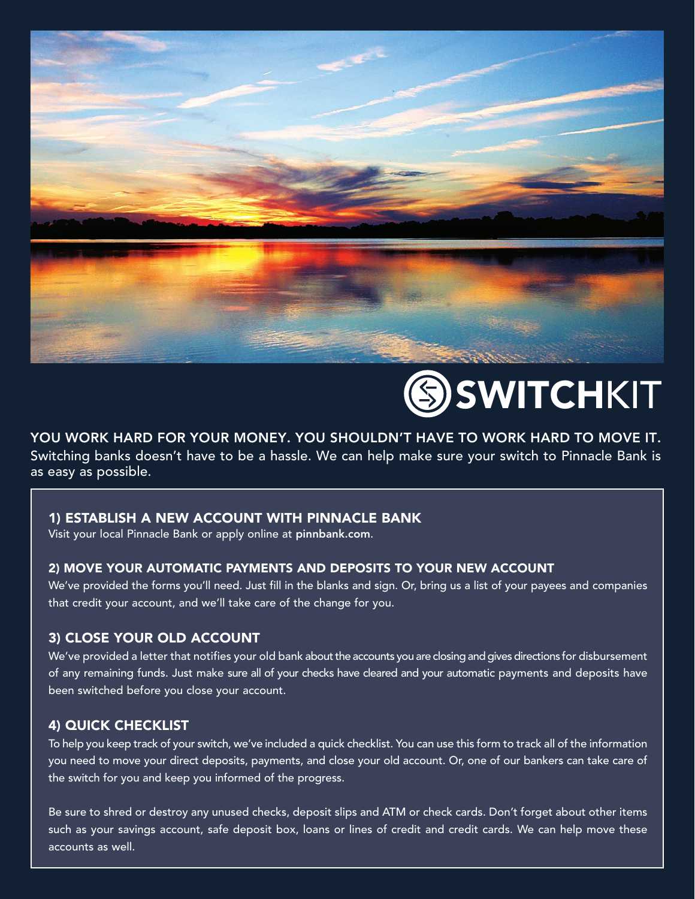



# SWITCHKIT

YOU WORK HARD FOR YOUR MONEY. YOU SHOULDN'T HAVE TO WORK HARD TO MOVE IT. Switching banks doesn't have to be a hassle. We can help make sure your switch to Pinnacle Bank is as easy as possible.

### 1) ESTABLISH A NEW ACCOUNT WITH PINNACLE BANK

Visit your local Pinnacle Bank or apply online at pinnbank.com.

### 2) MOVE YOUR AUTOMATIC PAYMENTS AND DEPOSITS TO YOUR NEW ACCOUNT

We've provided the forms you'll need. Just fill in the blanks and sign. Or, bring us a list of your payees and companies that credit your account, and we'll take care of the change for you.

# 3) CLOSE YOUR OLD ACCOUNT

We've provided a letter that notifies your old bank about the accounts you are closing and gives directions for disbursement of any remaining funds. Just make sure all of your checks have cleared and your automatic payments and deposits have been switched before you close your account.

# 4) QUICK CHECKLIST

To help you keep track of your switch, we've included a quick checklist. You can use this form to track all of the information you need to move your direct deposits, payments, and close your old account. Or, one of our bankers can take care of the switch for you and keep you informed of the progress.

Be sure to shred or destroy any unused checks, deposit slips and ATM or check cards. Don't forget about other items such as your savings account, safe deposit box, loans or lines of credit and credit cards. We can help move these accounts as well.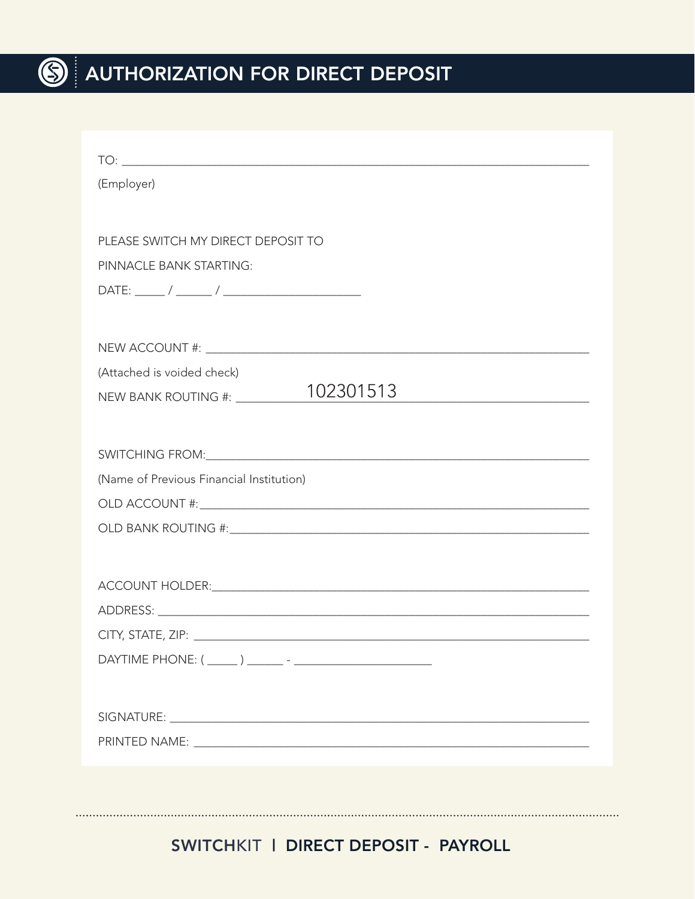

# **SEAUTHORIZATION FOR DIRECT DEPOSIT**

| (Employer)                                  |
|---------------------------------------------|
|                                             |
| PLEASE SWITCH MY DIRECT DEPOSIT TO          |
| PINNACLE BANK STARTING:                     |
|                                             |
|                                             |
|                                             |
| (Attached is voided check)                  |
| 102301513<br>NEW BANK ROUTING #: __________ |
|                                             |
|                                             |
| (Name of Previous Financial Institution)    |
|                                             |
|                                             |
|                                             |
|                                             |
|                                             |
|                                             |
|                                             |
|                                             |
|                                             |
|                                             |
|                                             |
|                                             |
|                                             |
|                                             |

# SWITCHKIT | DIRECT DEPOSIT - PAYROLL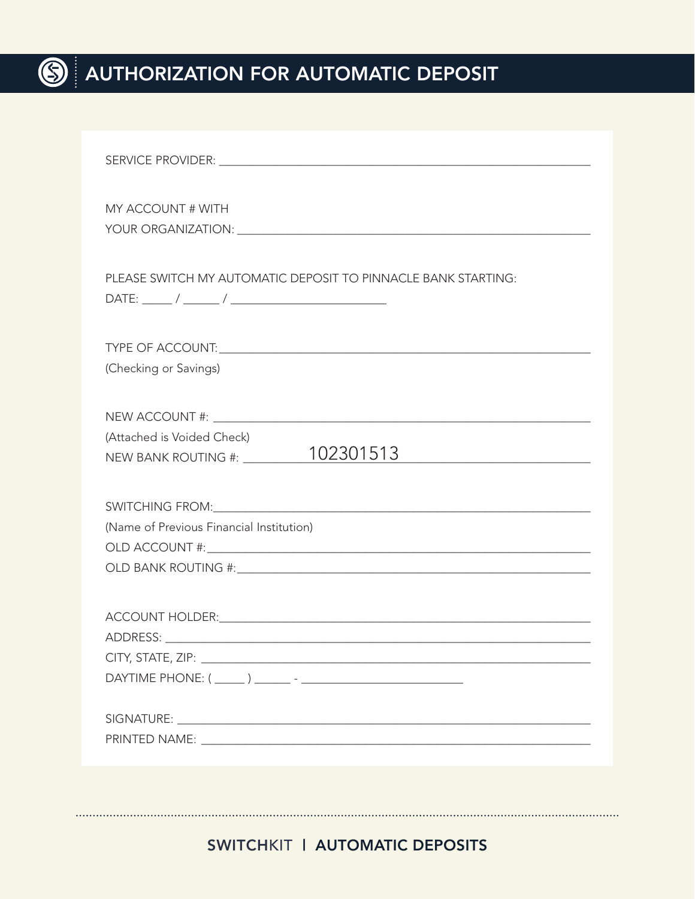

# **S** AUTHORIZATION FOR AUTOMATIC DEPOSIT

# SWITCHKIT | AUTOMATIC DEPOSITS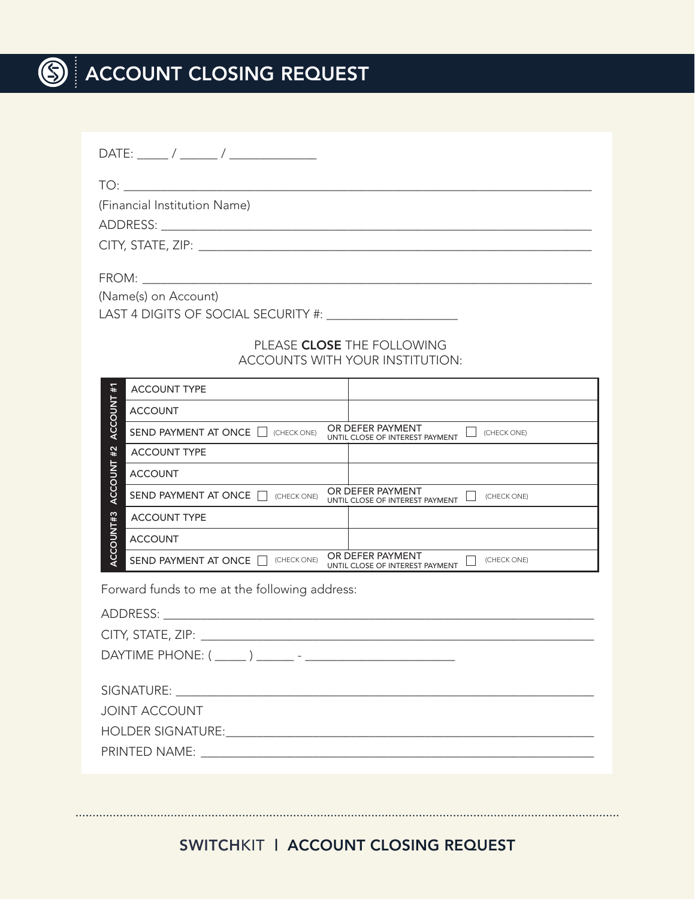|                   | (Financial Institution Name)                                                                          |
|-------------------|-------------------------------------------------------------------------------------------------------|
|                   |                                                                                                       |
|                   |                                                                                                       |
|                   |                                                                                                       |
|                   | (Name(s) on Account)                                                                                  |
|                   | LAST 4 DIGITS OF SOCIAL SECURITY #: ______________________                                            |
|                   | PLEASE CLOSE THE FOLLOWING                                                                            |
|                   | ACCOUNTS WITH YOUR INSTITUTION:                                                                       |
|                   | <b>ACCOUNT TYPE</b>                                                                                   |
| <b>ACCOUNT #1</b> | <b>ACCOUNT</b>                                                                                        |
|                   | OR DEFER PAYMENT<br>SEND PAYMENT AT ONCE GHECK ONE)<br>(CHECK ONE)<br>UNTIL CLOSE OF INTEREST PAYMENT |
| #2                | <b>ACCOUNT TYPE</b>                                                                                   |
| ACCOUNT           | <b>ACCOUNT</b>                                                                                        |
|                   | OR DEFER PAYMENT<br>SEND PAYMENT AT ONCE CHECK ONE)<br>(CHECK ONE)<br>UNTIL CLOSE OF INTEREST PAYMENT |
|                   | <b>ACCOUNT TYPE</b>                                                                                   |
| ACCOUNT#3         | <b>ACCOUNT</b>                                                                                        |
|                   | OR DEFER PAYMENT<br>SEND PAYMENT AT ONCE CHECK ONE)<br>(CHECK ONE)<br>UNTIL CLOSE OF INTEREST PAYMENT |
|                   | Forward funds to me at the following address:                                                         |
|                   |                                                                                                       |
|                   |                                                                                                       |
|                   |                                                                                                       |
|                   |                                                                                                       |
|                   |                                                                                                       |
|                   | <b>JOINT ACCOUNT</b>                                                                                  |
|                   |                                                                                                       |
|                   |                                                                                                       |

# SWITCHKIT | ACCOUNT CLOSING REQUEST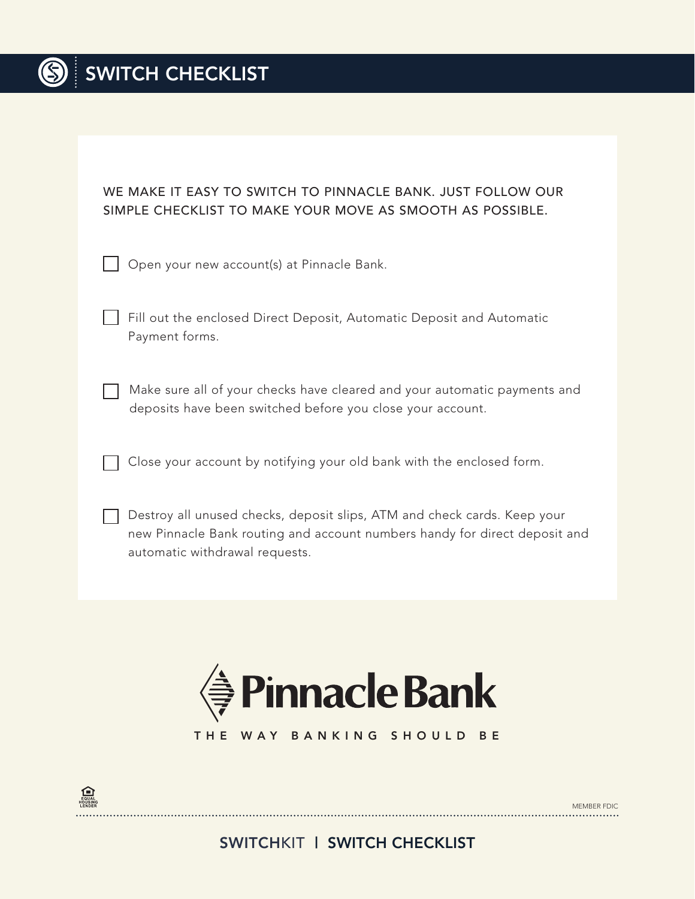# WE MAKE IT EASY TO SWITCH TO PINNACLE BANK. JUST FOLLOW OUR SIMPLE CHECKLIST TO MAKE YOUR MOVE AS SMOOTH AS POSSIBLE.

| Open your new account(s) at Pinnacle Bank. |  |  |  |  |  |  |  |  |
|--------------------------------------------|--|--|--|--|--|--|--|--|
|--------------------------------------------|--|--|--|--|--|--|--|--|

- | Fill out the enclosed Direct Deposit, Automatic Deposit and Automatic Payment forms.
	- Make sure all of your checks have cleared and your automatic payments and deposits have been switched before you close your account.
	- Close your account by notifying your old bank with the enclosed form.
	- **T** Destroy all unused checks, deposit slips, ATM and check cards. Keep your new Pinnacle Bank routing and account numbers handy for direct deposit and automatic withdrawal requests.



THE WAY BANKING SHOULD BE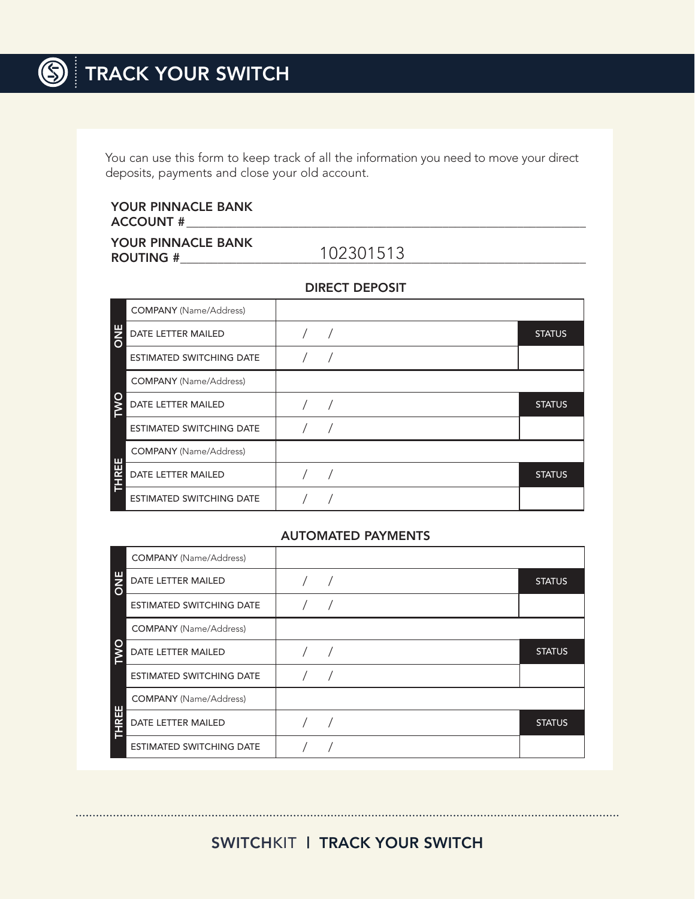You can use this form to keep track of all the information you need to move your direct deposits, payments and close your old account.

#### YOUR PINNACLE BANK ACCOUNT #\_\_\_\_\_\_\_\_

YOUR PINNACLE BANK ROUTING #

102301513

|                     | <b>COMPANY</b> (Name/Address)   |  |               |
|---------------------|---------------------------------|--|---------------|
| ш<br>$\overline{5}$ | DATE LETTER MAILED              |  | <b>STATUS</b> |
|                     | <b>ESTIMATED SWITCHING DATE</b> |  |               |
|                     | <b>COMPANY</b> (Name/Address)   |  |               |
|                     | DATE LETTER MAILED              |  | <b>STATUS</b> |
|                     | <b>ESTIMATED SWITCHING DATE</b> |  |               |
| ш                   | <b>COMPANY</b> (Name/Address)   |  |               |
| $\alpha$<br>I       | DATE LETTER MAILED              |  | <b>STATUS</b> |
|                     | <b>ESTIMATED SWITCHING DATE</b> |  |               |

#### **AUTOMATED PAYMENTS**

|              | <b>COMPANY</b> (Name/Address)   |  |               |
|--------------|---------------------------------|--|---------------|
| <b>SINC</b>  | DATE LETTER MAILED              |  | <b>STATUS</b> |
|              | <b>ESTIMATED SWITCHING DATE</b> |  |               |
|              | <b>COMPANY</b> (Name/Address)   |  |               |
| <b>DWI</b>   | DATE LETTER MAILED              |  | <b>STATUS</b> |
|              | <b>ESTIMATED SWITCHING DATE</b> |  |               |
|              | <b>COMPANY</b> (Name/Address)   |  |               |
| <b>THREE</b> | DATE LETTER MAILED              |  | <b>STATUS</b> |
|              | <b>ESTIMATED SWITCHING DATE</b> |  |               |

### **DIRECT DEPOSIT**

# SWITCHKIT | TRACK YOUR SWITCH